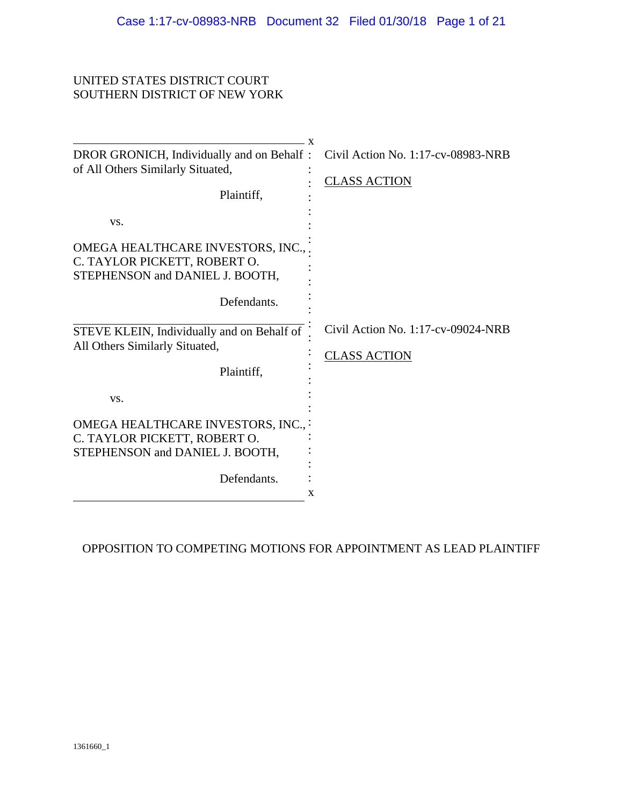#### UNITED STATES DISTRICT COURT SOUTHERN DISTRICT OF NEW YORK

|                                                                                                      | . X                                                          |
|------------------------------------------------------------------------------------------------------|--------------------------------------------------------------|
| DROR GRONICH, Individually and on Behalf:<br>of All Others Similarly Situated,                       | Civil Action No. 1:17-cv-08983-NRB                           |
|                                                                                                      | <b>CLASS ACTION</b>                                          |
| Plaintiff,                                                                                           |                                                              |
| VS.                                                                                                  |                                                              |
| OMEGA HEALTHCARE INVESTORS, INC.,<br>C. TAYLOR PICKETT, ROBERT O.<br>STEPHENSON and DANIEL J. BOOTH, |                                                              |
| Defendants.                                                                                          |                                                              |
| STEVE KLEIN, Individually and on Behalf of<br>All Others Similarly Situated,<br>Plaintiff,           | Civil Action No. $1:17$ -cv-09024-NRB<br><b>CLASS ACTION</b> |
| VS.                                                                                                  |                                                              |
| OMEGA HEALTHCARE INVESTORS, INC.,                                                                    |                                                              |
| C. TAYLOR PICKETT, ROBERT O.                                                                         |                                                              |
| STEPHENSON and DANIEL J. BOOTH,                                                                      |                                                              |
|                                                                                                      |                                                              |
| Defendants.                                                                                          |                                                              |
|                                                                                                      | X                                                            |

OPPOSITION TO COMPETING MOTIONS FOR APPOINTMENT AS LEAD PLAINTIFF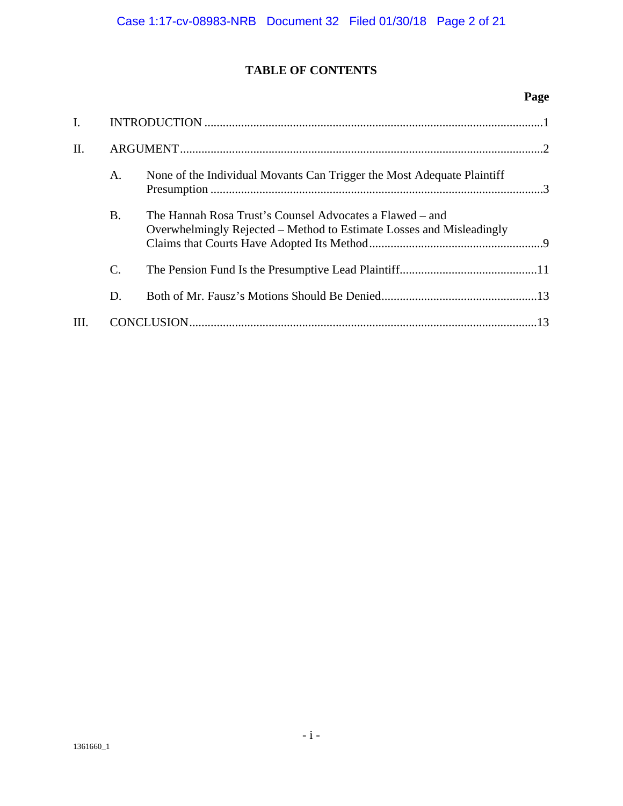# **TABLE OF CONTENTS**

### **Page**

| $\mathbf{I}$ . |           |                                                                                                                                  |  |
|----------------|-----------|----------------------------------------------------------------------------------------------------------------------------------|--|
| II.            |           |                                                                                                                                  |  |
|                | A.        | None of the Individual Movants Can Trigger the Most Adequate Plaintiff                                                           |  |
|                | <b>B.</b> | The Hannah Rosa Trust's Counsel Advocates a Flawed – and<br>Overwhelmingly Rejected – Method to Estimate Losses and Misleadingly |  |
|                | C.        |                                                                                                                                  |  |
|                | D.        |                                                                                                                                  |  |
|                |           |                                                                                                                                  |  |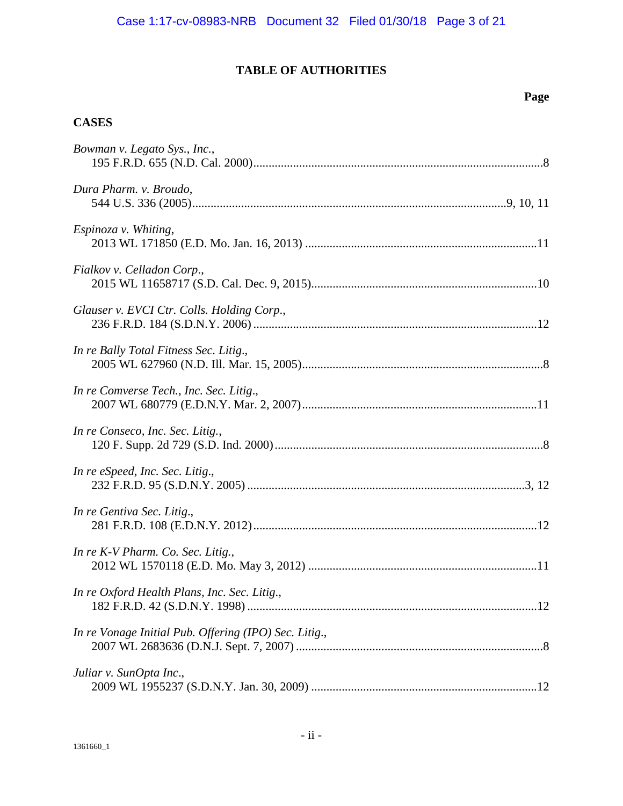# **TABLE OF AUTHORITIES**

## **Page**

# **CASES**

| Bowman v. Legato Sys., Inc.,                          |
|-------------------------------------------------------|
| Dura Pharm. v. Broudo,                                |
| Espinoza v. Whiting,                                  |
| Fialkov v. Celladon Corp.,                            |
| Glauser v. EVCI Ctr. Colls. Holding Corp.,            |
| In re Bally Total Fitness Sec. Litig.,                |
| In re Comverse Tech., Inc. Sec. Litig.,               |
| In re Conseco, Inc. Sec. Litig.,                      |
| In re eSpeed, Inc. Sec. Litig.,                       |
| In re Gentiva Sec. Litig.,                            |
| In re K-V Pharm. Co. Sec. Litig.,                     |
| In re Oxford Health Plans, Inc. Sec. Litig.,          |
| In re Vonage Initial Pub. Offering (IPO) Sec. Litig., |
| Juliar v. SunOpta Inc.,                               |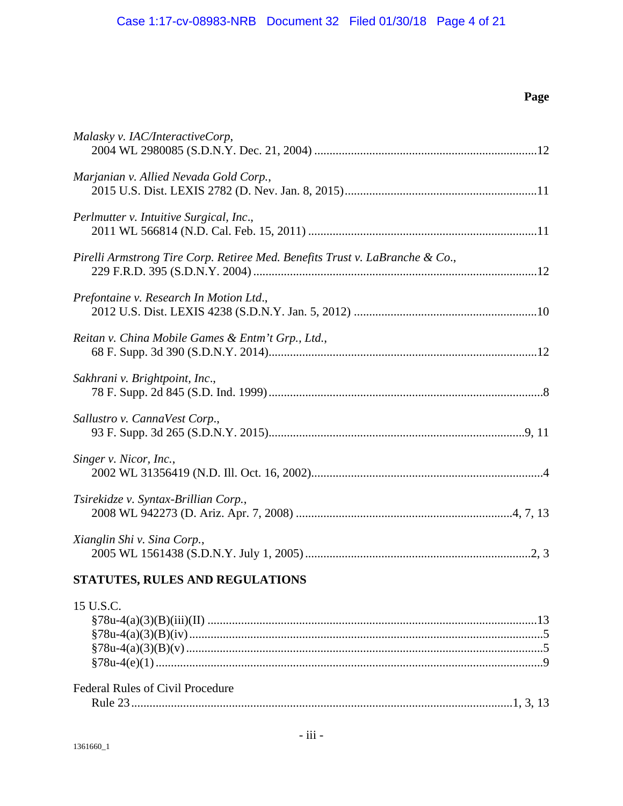# **Page**

| Malasky v. IAC/InteractiveCorp,                                                                                                                                                                                                                                                                                                     |
|-------------------------------------------------------------------------------------------------------------------------------------------------------------------------------------------------------------------------------------------------------------------------------------------------------------------------------------|
| Marjanian v. Allied Nevada Gold Corp.,                                                                                                                                                                                                                                                                                              |
| Perlmutter v. Intuitive Surgical, Inc.,                                                                                                                                                                                                                                                                                             |
| Pirelli Armstrong Tire Corp. Retiree Med. Benefits Trust v. LaBranche & Co.,                                                                                                                                                                                                                                                        |
| Prefontaine v. Research In Motion Ltd.,                                                                                                                                                                                                                                                                                             |
| Reitan v. China Mobile Games & Entm't Grp., Ltd.,                                                                                                                                                                                                                                                                                   |
| Sakhrani v. Brightpoint, Inc.,                                                                                                                                                                                                                                                                                                      |
| Sallustro v. CannaVest Corp.,                                                                                                                                                                                                                                                                                                       |
| Singer v. Nicor, Inc.,                                                                                                                                                                                                                                                                                                              |
| Tsirekidze v. Syntax-Brillian Corp.,                                                                                                                                                                                                                                                                                                |
| Xianglin Shi v. Sina Corp.,                                                                                                                                                                                                                                                                                                         |
| STATUTES, RULES AND REGULATIONS                                                                                                                                                                                                                                                                                                     |
| 15 U.S.C.<br>$87811 A0 (2)(R)(iv)$<br>$\sim$ 5 $\sim$ 5 $\sim$ 5 $\sim$ 5 $\sim$ 5 $\sim$ 5 $\sim$ 5 $\sim$ 5 $\sim$ 5 $\sim$ 5 $\sim$ 5 $\sim$ 5 $\sim$ 5 $\sim$ 5 $\sim$ 5 $\sim$ 5 $\sim$ 5 $\sim$ 5 $\sim$ 5 $\sim$ 5 $\sim$ 5 $\sim$ 5 $\sim$ 5 $\sim$ 5 $\sim$ 5 $\sim$ 5 $\sim$ 5 $\sim$ 5 $\sim$ 5 $\sim$ 5 $\sim$ 5 $\sim$ |

| <b>Federal Rules of Civil Procedure</b> |  |
|-----------------------------------------|--|
|                                         |  |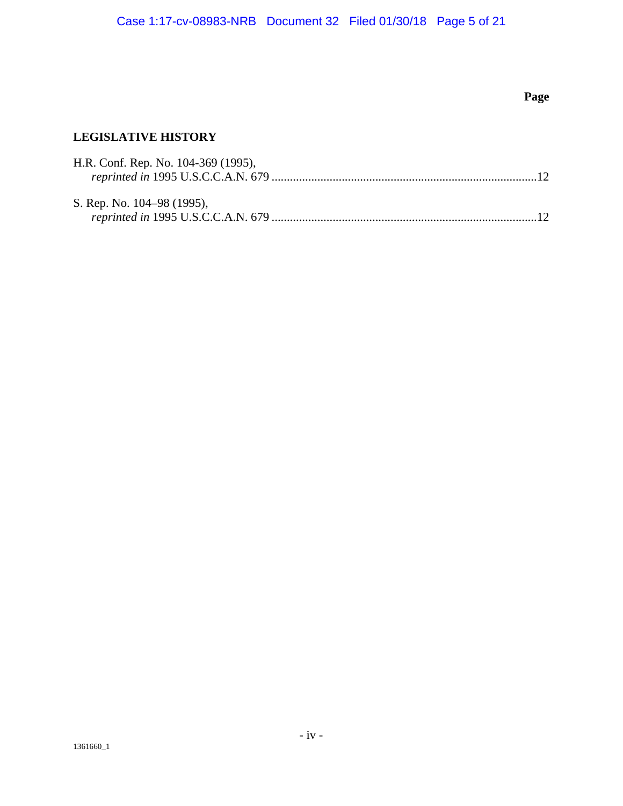# **Page**

# **LEGISLATIVE HISTORY**

| H.R. Conf. Rep. No. 104-369 (1995), |  |
|-------------------------------------|--|
|                                     |  |
|                                     |  |
| S. Rep. No. 104–98 (1995),          |  |
|                                     |  |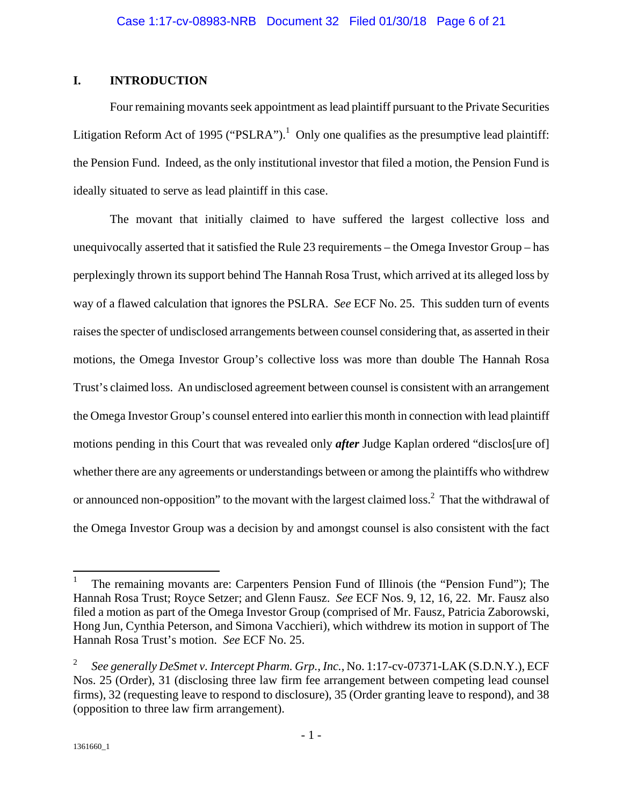### **I. INTRODUCTION**

Four remaining movants seek appointment as lead plaintiff pursuant to the Private Securities Litigation Reform Act of 1995 ("PSLRA").<sup>1</sup> Only one qualifies as the presumptive lead plaintiff: the Pension Fund. Indeed, as the only institutional investor that filed a motion, the Pension Fund is ideally situated to serve as lead plaintiff in this case.

The movant that initially claimed to have suffered the largest collective loss and unequivocally asserted that it satisfied the Rule 23 requirements – the Omega Investor Group – has perplexingly thrown its support behind The Hannah Rosa Trust, which arrived at its alleged loss by way of a flawed calculation that ignores the PSLRA. *See* ECF No. 25. This sudden turn of events raises the specter of undisclosed arrangements between counsel considering that, as asserted in their motions, the Omega Investor Group's collective loss was more than double The Hannah Rosa Trust's claimed loss. An undisclosed agreement between counsel is consistent with an arrangement the Omega Investor Group's counsel entered into earlier this month in connection with lead plaintiff motions pending in this Court that was revealed only *after* Judge Kaplan ordered "disclos[ure of] whether there are any agreements or understandings between or among the plaintiffs who withdrew or announced non-opposition" to the movant with the largest claimed loss.<sup>2</sup> That the withdrawal of the Omega Investor Group was a decision by and amongst counsel is also consistent with the fact

<sup>1</sup> The remaining movants are: Carpenters Pension Fund of Illinois (the "Pension Fund"); The Hannah Rosa Trust; Royce Setzer; and Glenn Fausz. *See* ECF Nos. 9, 12, 16, 22. Mr. Fausz also filed a motion as part of the Omega Investor Group (comprised of Mr. Fausz, Patricia Zaborowski, Hong Jun, Cynthia Peterson, and Simona Vacchieri), which withdrew its motion in support of The Hannah Rosa Trust's motion. *See* ECF No. 25.

<sup>2</sup> *See generally DeSmet v. Intercept Pharm. Grp., Inc.*, No. 1:17-cv-07371-LAK (S.D.N.Y.), ECF Nos. 25 (Order), 31 (disclosing three law firm fee arrangement between competing lead counsel firms), 32 (requesting leave to respond to disclosure), 35 (Order granting leave to respond), and 38 (opposition to three law firm arrangement).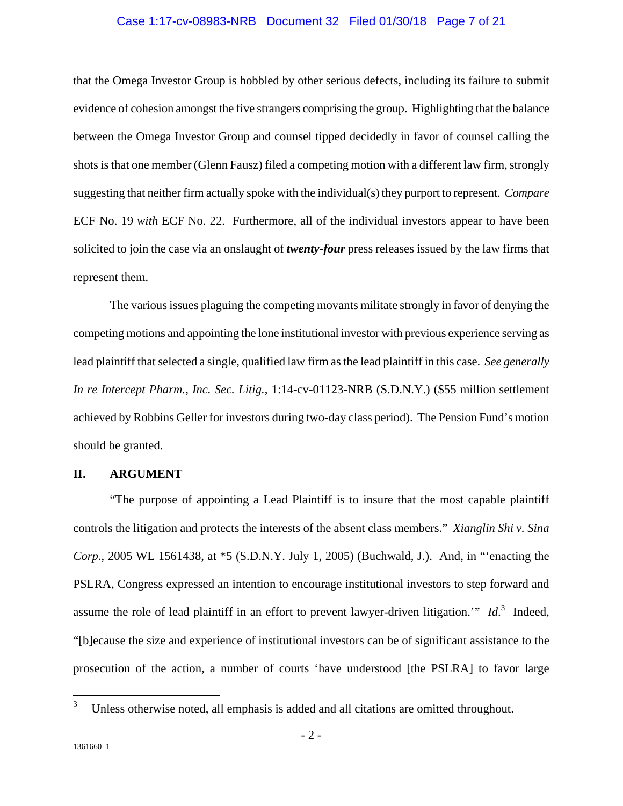#### Case 1:17-cv-08983-NRB Document 32 Filed 01/30/18 Page 7 of 21

that the Omega Investor Group is hobbled by other serious defects, including its failure to submit evidence of cohesion amongst the five strangers comprising the group. Highlighting that the balance between the Omega Investor Group and counsel tipped decidedly in favor of counsel calling the shots is that one member (Glenn Fausz) filed a competing motion with a different law firm, strongly suggesting that neither firm actually spoke with the individual(s) they purport to represent. *Compare* ECF No. 19 *with* ECF No. 22. Furthermore, all of the individual investors appear to have been solicited to join the case via an onslaught of *twenty-four* press releases issued by the law firms that represent them.

The various issues plaguing the competing movants militate strongly in favor of denying the competing motions and appointing the lone institutional investor with previous experience serving as lead plaintiff that selected a single, qualified law firm as the lead plaintiff in this case. *See generally In re Intercept Pharm., Inc. Sec. Litig.*, 1:14-cv-01123-NRB (S.D.N.Y.) (\$55 million settlement achieved by Robbins Geller for investors during two-day class period). The Pension Fund's motion should be granted.

#### **II. ARGUMENT**

"The purpose of appointing a Lead Plaintiff is to insure that the most capable plaintiff controls the litigation and protects the interests of the absent class members." *Xianglin Shi v. Sina Corp.*, 2005 WL 1561438, at \*5 (S.D.N.Y. July 1, 2005) (Buchwald, J.). And, in "'enacting the PSLRA, Congress expressed an intention to encourage institutional investors to step forward and assume the role of lead plaintiff in an effort to prevent lawyer-driven litigation." *Id*.<sup>3</sup> Indeed, "[b]ecause the size and experience of institutional investors can be of significant assistance to the prosecution of the action, a number of courts 'have understood [the PSLRA] to favor large

1

<sup>3</sup> Unless otherwise noted, all emphasis is added and all citations are omitted throughout.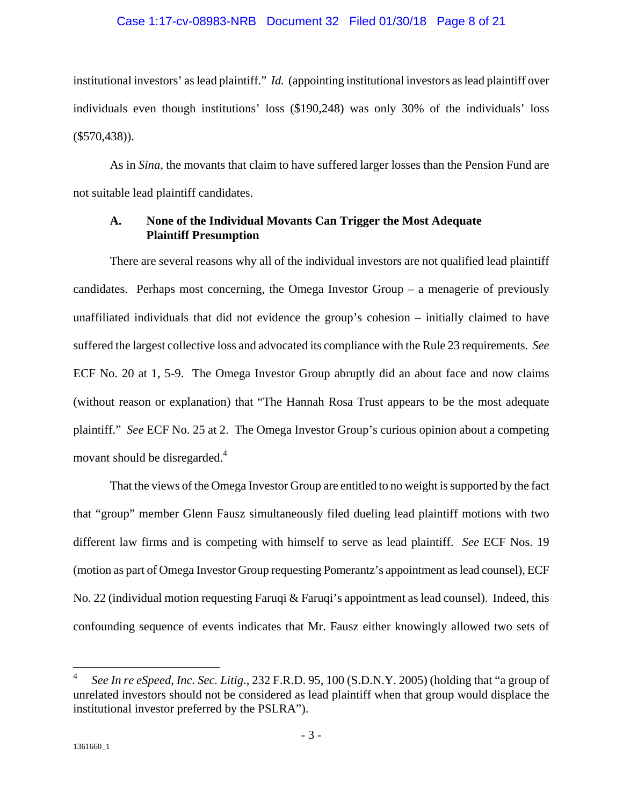#### Case 1:17-cv-08983-NRB Document 32 Filed 01/30/18 Page 8 of 21

institutional investors' as lead plaintiff." *Id.* (appointing institutional investors as lead plaintiff over individuals even though institutions' loss (\$190,248) was only 30% of the individuals' loss  $(\$570,438)$ ).

As in *Sina*, the movants that claim to have suffered larger losses than the Pension Fund are not suitable lead plaintiff candidates.

#### **A. None of the Individual Movants Can Trigger the Most Adequate Plaintiff Presumption**

There are several reasons why all of the individual investors are not qualified lead plaintiff candidates. Perhaps most concerning, the Omega Investor Group – a menagerie of previously unaffiliated individuals that did not evidence the group's cohesion – initially claimed to have suffered the largest collective loss and advocated its compliance with the Rule 23 requirements. *See* ECF No. 20 at 1, 5-9. The Omega Investor Group abruptly did an about face and now claims (without reason or explanation) that "The Hannah Rosa Trust appears to be the most adequate plaintiff." *See* ECF No. 25 at 2. The Omega Investor Group's curious opinion about a competing movant should be disregarded.<sup>4</sup>

That the views of the Omega Investor Group are entitled to no weight is supported by the fact that "group" member Glenn Fausz simultaneously filed dueling lead plaintiff motions with two different law firms and is competing with himself to serve as lead plaintiff. *See* ECF Nos. 19 (motion as part of Omega Investor Group requesting Pomerantz's appointment as lead counsel), ECF No. 22 (individual motion requesting Faruqi & Faruqi's appointment as lead counsel). Indeed, this confounding sequence of events indicates that Mr. Fausz either knowingly allowed two sets of

<sup>4</sup> *See In re eSpeed, Inc. Sec. Litig*., 232 F.R.D. 95, 100 (S.D.N.Y. 2005) (holding that "a group of unrelated investors should not be considered as lead plaintiff when that group would displace the institutional investor preferred by the PSLRA").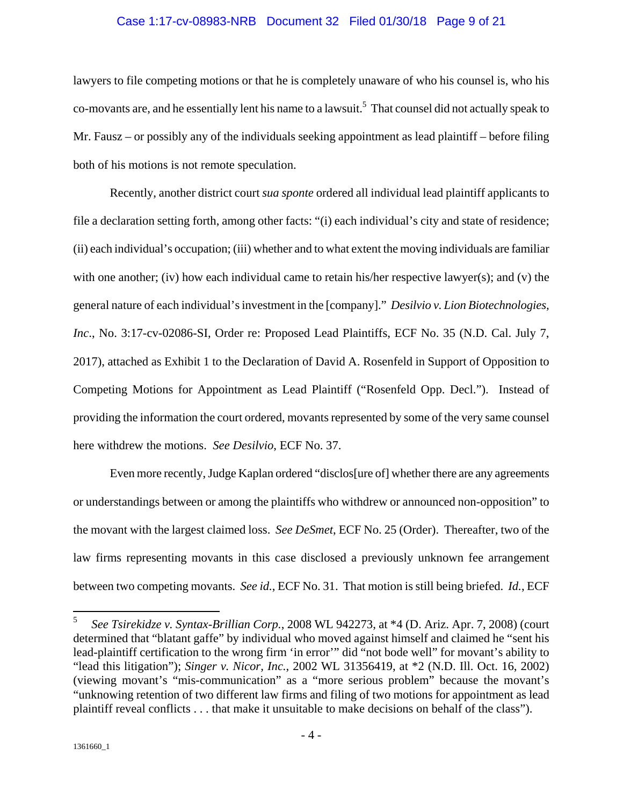#### Case 1:17-cv-08983-NRB Document 32 Filed 01/30/18 Page 9 of 21

lawyers to file competing motions or that he is completely unaware of who his counsel is, who his co-movants are, and he essentially lent his name to a lawsuit.<sup>5</sup> That counsel did not actually speak to Mr. Fausz – or possibly any of the individuals seeking appointment as lead plaintiff – before filing both of his motions is not remote speculation.

Recently, another district court *sua sponte* ordered all individual lead plaintiff applicants to file a declaration setting forth, among other facts: "(i) each individual's city and state of residence; (ii) each individual's occupation; (iii) whether and to what extent the moving individuals are familiar with one another; (iv) how each individual came to retain his/her respective lawyer(s); and (v) the general nature of each individual's investment in the [company]." *Desilvio v. Lion Biotechnologies, Inc*., No. 3:17-cv-02086-SI, Order re: Proposed Lead Plaintiffs, ECF No. 35 (N.D. Cal. July 7, 2017), attached as Exhibit 1 to the Declaration of David A. Rosenfeld in Support of Opposition to Competing Motions for Appointment as Lead Plaintiff ("Rosenfeld Opp. Decl."). Instead of providing the information the court ordered, movants represented by some of the very same counsel here withdrew the motions. *See Desilvio*, ECF No. 37.

Even more recently, Judge Kaplan ordered "disclos[ure of] whether there are any agreements or understandings between or among the plaintiffs who withdrew or announced non-opposition" to the movant with the largest claimed loss. *See DeSmet*, ECF No. 25 (Order). Thereafter, two of the law firms representing movants in this case disclosed a previously unknown fee arrangement between two competing movants. *See id.*, ECF No. 31. That motion is still being briefed. *Id.*, ECF

<sup>5</sup> *See Tsirekidze v. Syntax-Brillian Corp.*, 2008 WL 942273, at \*4 (D. Ariz. Apr. 7, 2008) (court determined that "blatant gaffe" by individual who moved against himself and claimed he "sent his lead-plaintiff certification to the wrong firm 'in error'" did "not bode well" for movant's ability to "lead this litigation"); *Singer v. Nicor, Inc.*, 2002 WL 31356419, at \*2 (N.D. Ill. Oct. 16, 2002) (viewing movant's "mis-communication" as a "more serious problem" because the movant's "unknowing retention of two different law firms and filing of two motions for appointment as lead plaintiff reveal conflicts . . . that make it unsuitable to make decisions on behalf of the class").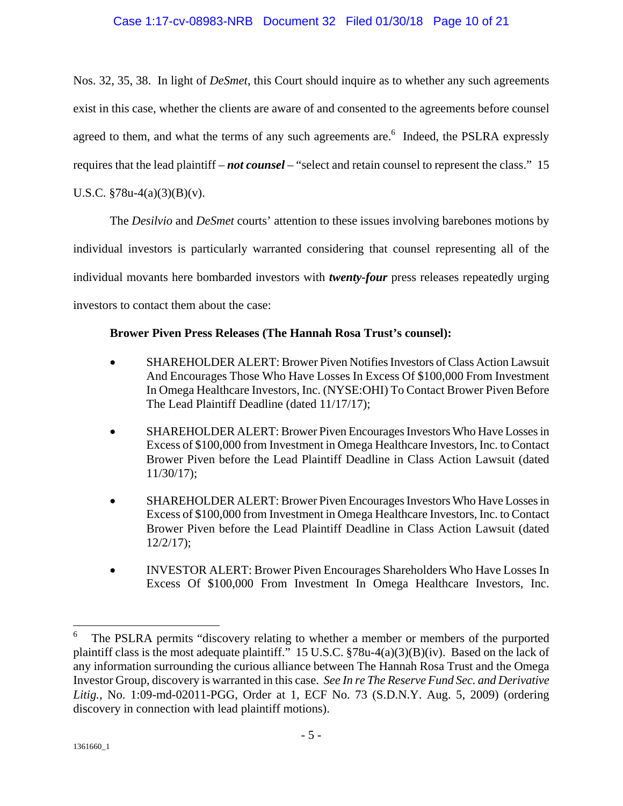### Case 1:17-cv-08983-NRB Document 32 Filed 01/30/18 Page 10 of 21

Nos. 32, 35, 38. In light of *DeSmet*, this Court should inquire as to whether any such agreements exist in this case, whether the clients are aware of and consented to the agreements before counsel agreed to them, and what the terms of any such agreements are.<sup>6</sup> Indeed, the PSLRA expressly requires that the lead plaintiff – *not counsel* – "select and retain counsel to represent the class." 15 U.S.C.  $$78u-4(a)(3)(B)(v)$ .

The *Desilvio* and *DeSmet* courts' attention to these issues involving barebones motions by individual investors is particularly warranted considering that counsel representing all of the individual movants here bombarded investors with *twenty-four* press releases repeatedly urging investors to contact them about the case:

### **Brower Piven Press Releases (The Hannah Rosa Trust's counsel):**

- SHAREHOLDER ALERT: Brower Piven Notifies Investors of Class Action Lawsuit And Encourages Those Who Have Losses In Excess Of \$100,000 From Investment In Omega Healthcare Investors, Inc. (NYSE:OHI) To Contact Brower Piven Before The Lead Plaintiff Deadline (dated 11/17/17);
- SHAREHOLDER ALERT: Brower Piven Encourages Investors Who Have Losses in Excess of \$100,000 from Investment in Omega Healthcare Investors, Inc. to Contact Brower Piven before the Lead Plaintiff Deadline in Class Action Lawsuit (dated 11/30/17);
- SHAREHOLDER ALERT: Brower Piven Encourages Investors Who Have Losses in Excess of \$100,000 from Investment in Omega Healthcare Investors, Inc. to Contact Brower Piven before the Lead Plaintiff Deadline in Class Action Lawsuit (dated 12/2/17);
- INVESTOR ALERT: Brower Piven Encourages Shareholders Who Have Losses In Excess Of \$100,000 From Investment In Omega Healthcare Investors, Inc.

<sup>6</sup> The PSLRA permits "discovery relating to whether a member or members of the purported plaintiff class is the most adequate plaintiff." 15 U.S.C. §78u-4(a)(3)(B)(iv). Based on the lack of any information surrounding the curious alliance between The Hannah Rosa Trust and the Omega Investor Group, discovery is warranted in this case. *See In re The Reserve Fund Sec. and Derivative Litig.*, No. 1:09-md-02011-PGG, Order at 1, ECF No. 73 (S.D.N.Y. Aug. 5, 2009) (ordering discovery in connection with lead plaintiff motions).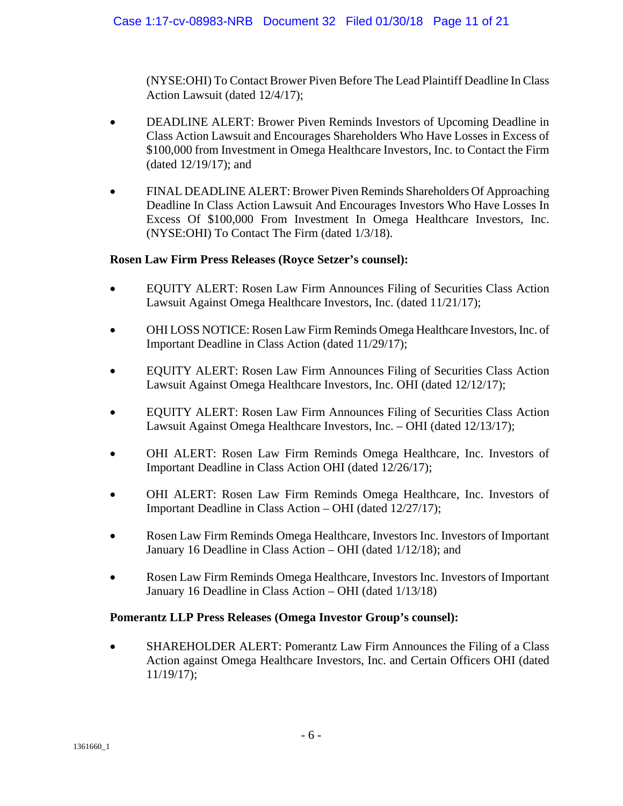(NYSE:OHI) To Contact Brower Piven Before The Lead Plaintiff Deadline In Class Action Lawsuit (dated 12/4/17);

- DEADLINE ALERT: Brower Piven Reminds Investors of Upcoming Deadline in Class Action Lawsuit and Encourages Shareholders Who Have Losses in Excess of \$100,000 from Investment in Omega Healthcare Investors, Inc. to Contact the Firm (dated 12/19/17); and
- FINAL DEADLINE ALERT: Brower Piven Reminds Shareholders Of Approaching Deadline In Class Action Lawsuit And Encourages Investors Who Have Losses In Excess Of \$100,000 From Investment In Omega Healthcare Investors, Inc. (NYSE:OHI) To Contact The Firm (dated 1/3/18).

### **Rosen Law Firm Press Releases (Royce Setzer's counsel):**

- EQUITY ALERT: Rosen Law Firm Announces Filing of Securities Class Action Lawsuit Against Omega Healthcare Investors, Inc. (dated 11/21/17);
- OHI LOSS NOTICE: Rosen Law Firm Reminds Omega Healthcare Investors, Inc. of Important Deadline in Class Action (dated 11/29/17);
- EQUITY ALERT: Rosen Law Firm Announces Filing of Securities Class Action Lawsuit Against Omega Healthcare Investors, Inc. OHI (dated 12/12/17);
- EQUITY ALERT: Rosen Law Firm Announces Filing of Securities Class Action Lawsuit Against Omega Healthcare Investors, Inc. – OHI (dated 12/13/17);
- OHI ALERT: Rosen Law Firm Reminds Omega Healthcare, Inc. Investors of Important Deadline in Class Action OHI (dated 12/26/17);
- OHI ALERT: Rosen Law Firm Reminds Omega Healthcare, Inc. Investors of Important Deadline in Class Action – OHI (dated 12/27/17);
- Rosen Law Firm Reminds Omega Healthcare, Investors Inc. Investors of Important January 16 Deadline in Class Action – OHI (dated 1/12/18); and
- Rosen Law Firm Reminds Omega Healthcare, Investors Inc. Investors of Important January 16 Deadline in Class Action – OHI (dated 1/13/18)

### **Pomerantz LLP Press Releases (Omega Investor Group's counsel):**

 SHAREHOLDER ALERT: Pomerantz Law Firm Announces the Filing of a Class Action against Omega Healthcare Investors, Inc. and Certain Officers OHI (dated 11/19/17);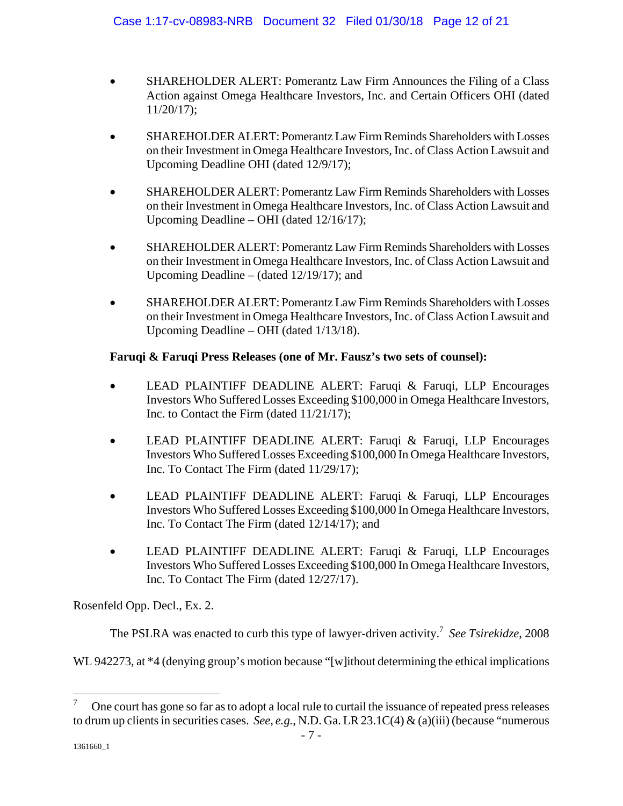- SHAREHOLDER ALERT: Pomerantz Law Firm Announces the Filing of a Class Action against Omega Healthcare Investors, Inc. and Certain Officers OHI (dated 11/20/17);
- SHAREHOLDER ALERT: Pomerantz Law Firm Reminds Shareholders with Losses on their Investment in Omega Healthcare Investors, Inc. of Class Action Lawsuit and Upcoming Deadline OHI (dated 12/9/17);
- SHAREHOLDER ALERT: Pomerantz Law Firm Reminds Shareholders with Losses on their Investment in Omega Healthcare Investors, Inc. of Class Action Lawsuit and Upcoming Deadline – OHI (dated 12/16/17);
- SHAREHOLDER ALERT: Pomerantz Law Firm Reminds Shareholders with Losses on their Investment in Omega Healthcare Investors, Inc. of Class Action Lawsuit and Upcoming Deadline – (dated 12/19/17); and
- SHAREHOLDER ALERT: Pomerantz Law Firm Reminds Shareholders with Losses on their Investment in Omega Healthcare Investors, Inc. of Class Action Lawsuit and Upcoming Deadline – OHI (dated 1/13/18).

### **Faruqi & Faruqi Press Releases (one of Mr. Fausz's two sets of counsel):**

- LEAD PLAINTIFF DEADLINE ALERT: Faruqi & Faruqi, LLP Encourages Investors Who Suffered Losses Exceeding \$100,000 in Omega Healthcare Investors, Inc. to Contact the Firm (dated 11/21/17);
- LEAD PLAINTIFF DEADLINE ALERT: Faruqi & Faruqi, LLP Encourages Investors Who Suffered Losses Exceeding \$100,000 In Omega Healthcare Investors, Inc. To Contact The Firm (dated 11/29/17);
- LEAD PLAINTIFF DEADLINE ALERT: Faruqi & Faruqi, LLP Encourages Investors Who Suffered Losses Exceeding \$100,000 In Omega Healthcare Investors, Inc. To Contact The Firm (dated 12/14/17); and
- LEAD PLAINTIFF DEADLINE ALERT: Faruqi & Faruqi, LLP Encourages Investors Who Suffered Losses Exceeding \$100,000 In Omega Healthcare Investors, Inc. To Contact The Firm (dated 12/27/17).

Rosenfeld Opp. Decl., Ex. 2.

The PSLRA was enacted to curb this type of lawyer-driven activity.<sup>7</sup> See Tsirekidze, 2008

WL 942273, at  $*4$  (denying group's motion because "[w]ithout determining the ethical implications

<u>.</u>

<sup>7</sup> One court has gone so far as to adopt a local rule to curtail the issuance of repeated press releases to drum up clients in securities cases. *See, e.g.*, N.D. Ga. LR 23.1C(4) & (a)(iii) (because "numerous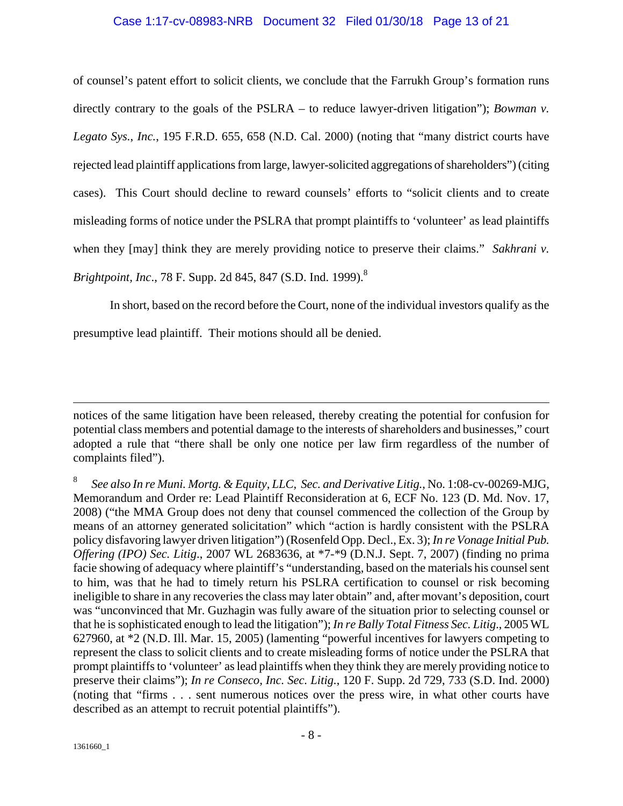#### Case 1:17-cv-08983-NRB Document 32 Filed 01/30/18 Page 13 of 21

of counsel's patent effort to solicit clients, we conclude that the Farrukh Group's formation runs directly contrary to the goals of the PSLRA – to reduce lawyer-driven litigation"); *Bowman v. Legato Sys.*, *Inc.*, 195 F.R.D. 655, 658 (N.D. Cal. 2000) (noting that "many district courts have rejected lead plaintiff applications from large, lawyer-solicited aggregations of shareholders") (citing cases). This Court should decline to reward counsels' efforts to "solicit clients and to create misleading forms of notice under the PSLRA that prompt plaintiffs to 'volunteer' as lead plaintiffs when they [may] think they are merely providing notice to preserve their claims." *Sakhrani v. Brightpoint, Inc., 78 F. Supp. 2d 845, 847 (S.D. Ind. 1999).*<sup>8</sup>

In short, based on the record before the Court, none of the individual investors qualify as the presumptive lead plaintiff. Their motions should all be denied.

notices of the same litigation have been released, thereby creating the potential for confusion for potential class members and potential damage to the interests of shareholders and businesses," court adopted a rule that "there shall be only one notice per law firm regardless of the number of complaints filed").

<sup>8</sup> *See also In re Muni. Mortg. & Equity, LLC, Sec. and Derivative Litig.*, No. 1:08-cv-00269-MJG, Memorandum and Order re: Lead Plaintiff Reconsideration at 6, ECF No. 123 (D. Md. Nov. 17, 2008) ("the MMA Group does not deny that counsel commenced the collection of the Group by means of an attorney generated solicitation" which "action is hardly consistent with the PSLRA policy disfavoring lawyer driven litigation") (Rosenfeld Opp. Decl., Ex. 3); *In re Vonage Initial Pub. Offering (IPO) Sec. Litig*., 2007 WL 2683636, at \*7-\*9 (D.N.J. Sept. 7, 2007) (finding no prima facie showing of adequacy where plaintiff's "understanding, based on the materials his counsel sent to him, was that he had to timely return his PSLRA certification to counsel or risk becoming ineligible to share in any recoveries the class may later obtain" and, after movant's deposition, court was "unconvinced that Mr. Guzhagin was fully aware of the situation prior to selecting counsel or that he is sophisticated enough to lead the litigation"); *In re Bally Total Fitness Sec. Litig*., 2005 WL 627960, at \*2 (N.D. Ill. Mar. 15, 2005) (lamenting "powerful incentives for lawyers competing to represent the class to solicit clients and to create misleading forms of notice under the PSLRA that prompt plaintiffs to 'volunteer' as lead plaintiffs when they think they are merely providing notice to preserve their claims"); *In re Conseco, Inc. Sec. Litig.*, 120 F. Supp. 2d 729, 733 (S.D. Ind. 2000) (noting that "firms . . . sent numerous notices over the press wire, in what other courts have described as an attempt to recruit potential plaintiffs").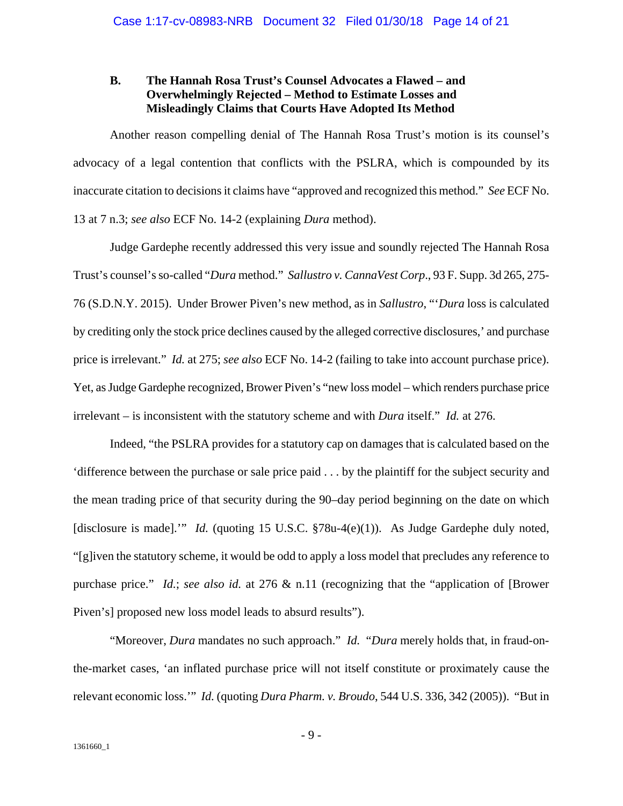#### **B. The Hannah Rosa Trust's Counsel Advocates a Flawed – and Overwhelmingly Rejected – Method to Estimate Losses and Misleadingly Claims that Courts Have Adopted Its Method**

Another reason compelling denial of The Hannah Rosa Trust's motion is its counsel's advocacy of a legal contention that conflicts with the PSLRA, which is compounded by its inaccurate citation to decisions it claims have "approved and recognized this method." *See* ECF No. 13 at 7 n.3; *see also* ECF No. 14-2 (explaining *Dura* method).

Judge Gardephe recently addressed this very issue and soundly rejected The Hannah Rosa Trust's counsel's so-called "*Dura* method." *Sallustro v. CannaVest Corp*., 93 F. Supp. 3d 265, 275- 76 (S.D.N.Y. 2015). Under Brower Piven's new method, as in *Sallustro*, "'*Dura* loss is calculated by crediting only the stock price declines caused by the alleged corrective disclosures,' and purchase price is irrelevant." *Id.* at 275; *see also* ECF No. 14-2 (failing to take into account purchase price). Yet, as Judge Gardephe recognized, Brower Piven's "new loss model – which renders purchase price irrelevant – is inconsistent with the statutory scheme and with *Dura* itself." *Id.* at 276.

Indeed, "the PSLRA provides for a statutory cap on damages that is calculated based on the 'difference between the purchase or sale price paid . . . by the plaintiff for the subject security and the mean trading price of that security during the 90–day period beginning on the date on which [disclosure is made]." *Id.* (quoting 15 U.S.C. §78u-4(e)(1)). As Judge Gardephe duly noted, "[g]iven the statutory scheme, it would be odd to apply a loss model that precludes any reference to purchase price." *Id.*; *see also id.* at 276 & n.11 (recognizing that the "application of [Brower Piven's] proposed new loss model leads to absurd results").

"Moreover, *Dura* mandates no such approach." *Id.* "*Dura* merely holds that, in fraud-onthe-market cases, 'an inflated purchase price will not itself constitute or proximately cause the relevant economic loss.'" *Id.* (quoting *Dura Pharm. v. Broudo*, 544 U.S. 336, 342 (2005)). "But in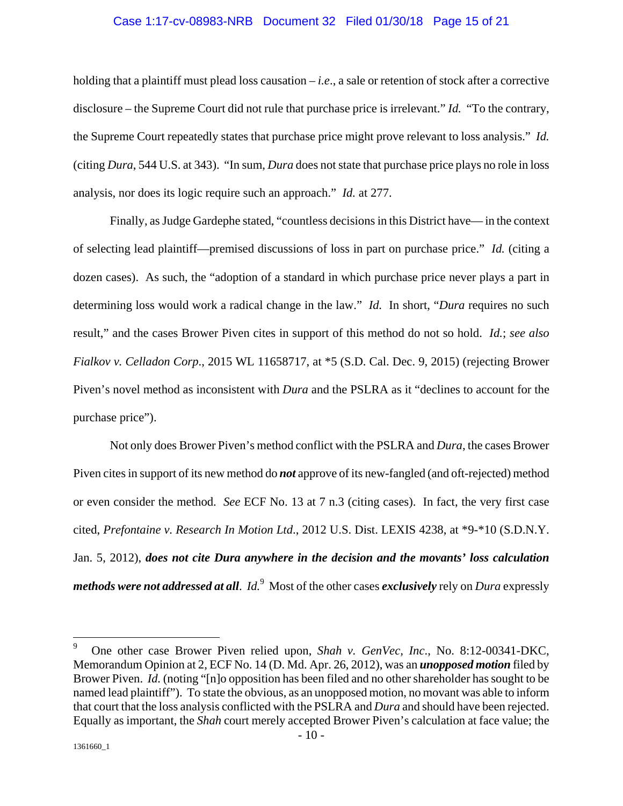#### Case 1:17-cv-08983-NRB Document 32 Filed 01/30/18 Page 15 of 21

holding that a plaintiff must plead loss causation – *i.e*., a sale or retention of stock after a corrective disclosure – the Supreme Court did not rule that purchase price is irrelevant." *Id.* "To the contrary, the Supreme Court repeatedly states that purchase price might prove relevant to loss analysis." *Id.* (citing *Dura*, 544 U.S. at 343). "In sum, *Dura* does not state that purchase price plays no role in loss analysis, nor does its logic require such an approach." *Id.* at 277.

Finally, as Judge Gardephe stated, "countless decisions in this District have— in the context of selecting lead plaintiff—premised discussions of loss in part on purchase price." *Id.* (citing a dozen cases). As such, the "adoption of a standard in which purchase price never plays a part in determining loss would work a radical change in the law." *Id.* In short, "*Dura* requires no such result," and the cases Brower Piven cites in support of this method do not so hold. *Id.*; *see also Fialkov v. Celladon Corp*., 2015 WL 11658717, at \*5 (S.D. Cal. Dec. 9, 2015) (rejecting Brower Piven's novel method as inconsistent with *Dura* and the PSLRA as it "declines to account for the purchase price").

Not only does Brower Piven's method conflict with the PSLRA and *Dura*, the cases Brower Piven cites in support of its new method do *not* approve of its new-fangled (and oft-rejected) method or even consider the method. *See* ECF No. 13 at 7 n.3 (citing cases). In fact, the very first case cited, *Prefontaine v. Research In Motion Ltd*., 2012 U.S. Dist. LEXIS 4238, at \*9-\*10 (S.D.N.Y. Jan. 5, 2012), *does not cite Dura anywhere in the decision and the movants' loss calculation methods were not addressed at all*. *Id.*<sup>9</sup> Most of the other cases *exclusively* rely on *Dura* expressly

<sup>9</sup> One other case Brower Piven relied upon, *Shah v. GenVec, Inc*., No. 8:12-00341-DKC, Memorandum Opinion at 2, ECF No. 14 (D. Md. Apr. 26, 2012), was an *unopposed motion* filed by Brower Piven. *Id.* (noting "[n]o opposition has been filed and no other shareholder has sought to be named lead plaintiff"). To state the obvious, as an unopposed motion, no movant was able to inform that court that the loss analysis conflicted with the PSLRA and *Dura* and should have been rejected. Equally as important, the *Shah* court merely accepted Brower Piven's calculation at face value; the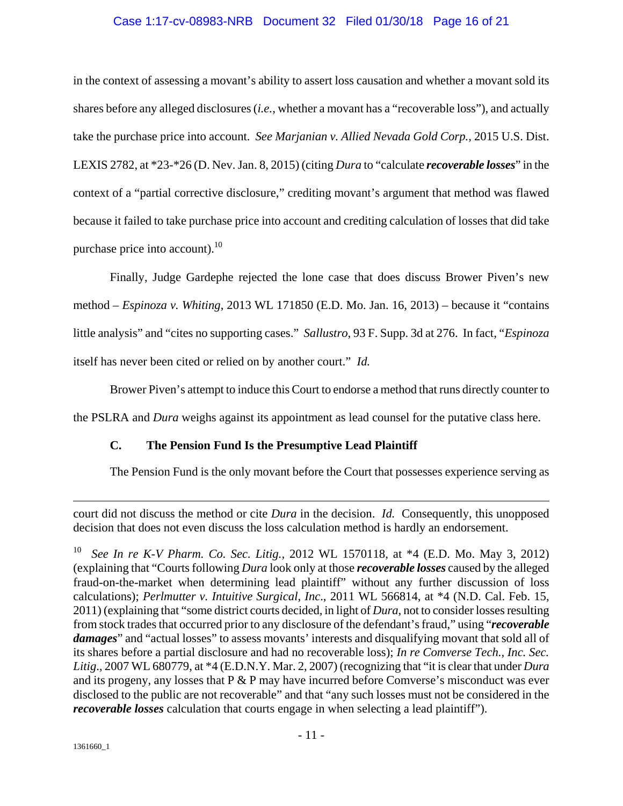#### Case 1:17-cv-08983-NRB Document 32 Filed 01/30/18 Page 16 of 21

in the context of assessing a movant's ability to assert loss causation and whether a movant sold its shares before any alleged disclosures (*i.e.,* whether a movant has a "recoverable loss"), and actually take the purchase price into account. *See Marjanian v. Allied Nevada Gold Corp.,* 2015 U.S. Dist. LEXIS 2782, at \*23-\*26 (D. Nev. Jan. 8, 2015) (citing *Dura* to "calculate *recoverable losses*" in the context of a "partial corrective disclosure," crediting movant's argument that method was flawed because it failed to take purchase price into account and crediting calculation of losses that did take purchase price into account). $^{10}$ 

Finally, Judge Gardephe rejected the lone case that does discuss Brower Piven's new method – *Espinoza v. Whiting*, 2013 WL 171850 (E.D. Mo. Jan. 16, 2013) – because it "contains little analysis" and "cites no supporting cases." *Sallustro*, 93 F. Supp. 3d at 276. In fact, "*Espinoza*  itself has never been cited or relied on by another court." *Id.*

Brower Piven's attempt to induce this Court to endorse a method that runs directly counter to

the PSLRA and *Dura* weighs against its appointment as lead counsel for the putative class here.

# **C. The Pension Fund Is the Presumptive Lead Plaintiff**

The Pension Fund is the only movant before the Court that possesses experience serving as

court did not discuss the method or cite *Dura* in the decision. *Id.* Consequently, this unopposed decision that does not even discuss the loss calculation method is hardly an endorsement.

<sup>10</sup> *See In re K-V Pharm. Co. Sec. Litig.,* 2012 WL 1570118, at \*4 (E.D. Mo. May 3, 2012) (explaining that "Courts following *Dura* look only at those *recoverable losses* caused by the alleged fraud-on-the-market when determining lead plaintiff" without any further discussion of loss calculations); *Perlmutter v. Intuitive Surgical, Inc*., 2011 WL 566814, at \*4 (N.D. Cal. Feb. 15, 2011) (explaining that "some district courts decided, in light of *Dura*, not to consider losses resulting from stock trades that occurred prior to any disclosure of the defendant's fraud," using "*recoverable damages*" and "actual losses" to assess movants' interests and disqualifying movant that sold all of its shares before a partial disclosure and had no recoverable loss); *In re Comverse Tech., Inc. Sec. Litig*., 2007 WL 680779, at \*4 (E.D.N.Y. Mar. 2, 2007) (recognizing that "it is clear that under *Dura*  and its progeny, any losses that  $P \& P$  may have incurred before Comverse's misconduct was ever disclosed to the public are not recoverable" and that "any such losses must not be considered in the *recoverable losses* calculation that courts engage in when selecting a lead plaintiff").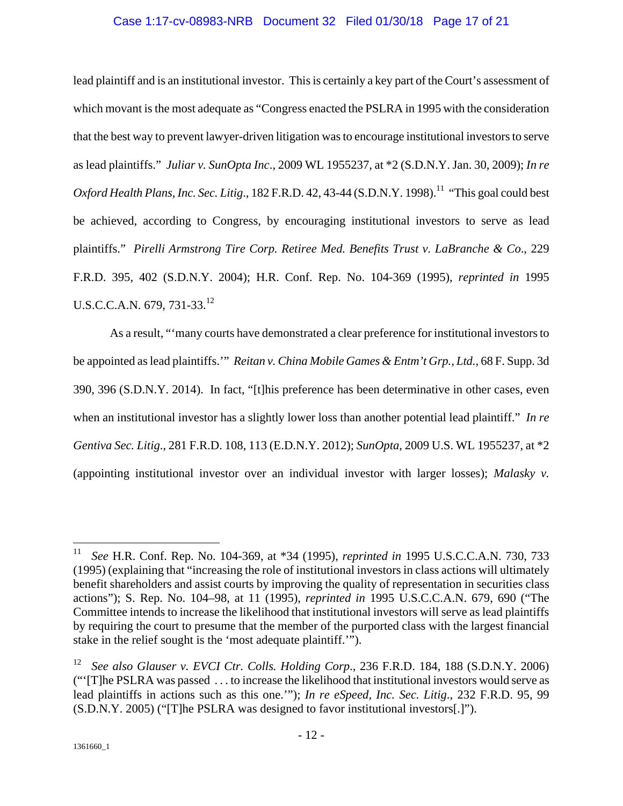#### Case 1:17-cv-08983-NRB Document 32 Filed 01/30/18 Page 17 of 21

lead plaintiff and is an institutional investor. This is certainly a key part of the Court's assessment of which movant is the most adequate as "Congress enacted the PSLRA in 1995 with the consideration that the best way to prevent lawyer-driven litigation was to encourage institutional investors to serve as lead plaintiffs." *Juliar v. SunOpta Inc*., 2009 WL 1955237, at \*2 (S.D.N.Y. Jan. 30, 2009); *In re Oxford Health Plans, Inc. Sec. Litig.*, 182 F.R.D. 42, 43-44 (S.D.N.Y. 1998).<sup>11</sup> "This goal could best be achieved, according to Congress, by encouraging institutional investors to serve as lead plaintiffs." *Pirelli Armstrong Tire Corp. Retiree Med. Benefits Trust v. LaBranche & Co*., 229 F.R.D. 395, 402 (S.D.N.Y. 2004); H.R. Conf. Rep. No. 104-369 (1995), *reprinted in* 1995 U.S.C.C.A.N. 679, 731-33.<sup>12</sup>

As a result, "'many courts have demonstrated a clear preference for institutional investors to be appointed as lead plaintiffs.'" *Reitan v. China Mobile Games & Entm't Grp., Ltd.*, 68 F. Supp. 3d 390, 396 (S.D.N.Y. 2014). In fact, "[t]his preference has been determinative in other cases, even when an institutional investor has a slightly lower loss than another potential lead plaintiff." *In re Gentiva Sec. Litig*., 281 F.R.D. 108, 113 (E.D.N.Y. 2012); *SunOpta*, 2009 U.S. WL 1955237, at \*2 (appointing institutional investor over an individual investor with larger losses); *Malasky v.* 

1

<sup>11</sup> *See* H.R. Conf. Rep. No. 104-369, at \*34 (1995), *reprinted in* 1995 U.S.C.C.A.N. 730, 733 (1995) (explaining that "increasing the role of institutional investors in class actions will ultimately benefit shareholders and assist courts by improving the quality of representation in securities class actions"); S. Rep. No. 104–98, at 11 (1995), *reprinted in* 1995 U.S.C.C.A.N. 679, 690 ("The Committee intends to increase the likelihood that institutional investors will serve as lead plaintiffs by requiring the court to presume that the member of the purported class with the largest financial stake in the relief sought is the 'most adequate plaintiff.'").

<sup>12</sup> *See also Glauser v. EVCI Ctr. Colls. Holding Corp*., 236 F.R.D. 184, 188 (S.D.N.Y. 2006) ("'[T]he PSLRA was passed . . . to increase the likelihood that institutional investors would serve as lead plaintiffs in actions such as this one.'"); *In re eSpeed, Inc. Sec. Litig*., 232 F.R.D. 95, 99 (S.D.N.Y. 2005) ("[T]he PSLRA was designed to favor institutional investors[.]").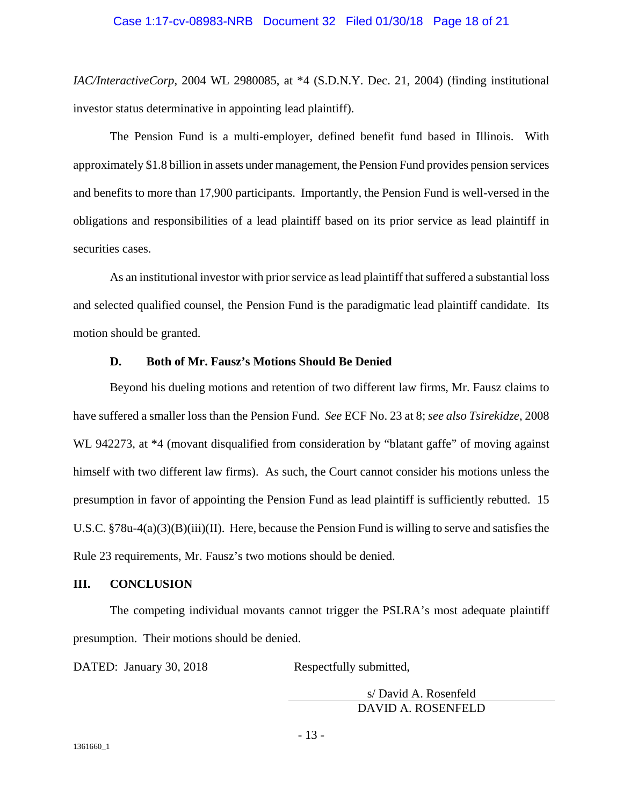*IAC/InteractiveCorp*, 2004 WL 2980085, at \*4 (S.D.N.Y. Dec. 21, 2004) (finding institutional investor status determinative in appointing lead plaintiff).

The Pension Fund is a multi-employer, defined benefit fund based in Illinois. With approximately \$1.8 billion in assets under management, the Pension Fund provides pension services and benefits to more than 17,900 participants. Importantly, the Pension Fund is well-versed in the obligations and responsibilities of a lead plaintiff based on its prior service as lead plaintiff in securities cases.

As an institutional investor with prior service as lead plaintiff that suffered a substantial loss and selected qualified counsel, the Pension Fund is the paradigmatic lead plaintiff candidate. Its motion should be granted.

#### **D. Both of Mr. Fausz's Motions Should Be Denied**

Beyond his dueling motions and retention of two different law firms, Mr. Fausz claims to have suffered a smaller loss than the Pension Fund. *See* ECF No. 23 at 8; *see also Tsirekidze*, 2008 WL 942273, at  $*4$  (movant disqualified from consideration by "blatant gaffe" of moving against himself with two different law firms). As such, the Court cannot consider his motions unless the presumption in favor of appointing the Pension Fund as lead plaintiff is sufficiently rebutted. 15 U.S.C. §78u-4(a)(3)(B)(iii)(II). Here, because the Pension Fund is willing to serve and satisfies the Rule 23 requirements, Mr. Fausz's two motions should be denied.

### **III. CONCLUSION**

The competing individual movants cannot trigger the PSLRA's most adequate plaintiff presumption. Their motions should be denied.

DATED: January 30, 2018 Respectfully submitted,

s/ David A. Rosenfeld DAVID A. ROSENFELD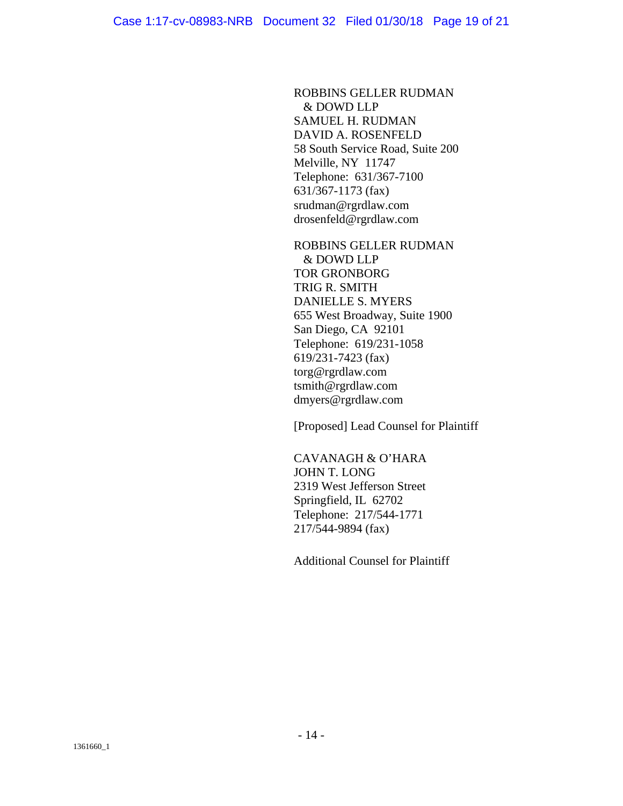ROBBINS GELLER RUDMAN & DOWD LLP SAMUEL H. RUDMAN DAVID A. ROSENFELD 58 South Service Road, Suite 200 Melville, NY 11747 Telephone: 631/367-7100 631/367-1173 (fax) srudman@rgrdlaw.com drosenfeld@rgrdlaw.com

ROBBINS GELLER RUDMAN & DOWD LLP TOR GRONBORG TRIG R. SMITH DANIELLE S. MYERS 655 West Broadway, Suite 1900 San Diego, CA 92101 Telephone: 619/231-1058 619/231-7423 (fax) torg@rgrdlaw.com tsmith@rgrdlaw.com dmyers@rgrdlaw.com

[Proposed] Lead Counsel for Plaintiff

CAVANAGH & O'HARA JOHN T. LONG 2319 West Jefferson Street Springfield, IL 62702 Telephone: 217/544-1771 217/544-9894 (fax)

Additional Counsel for Plaintiff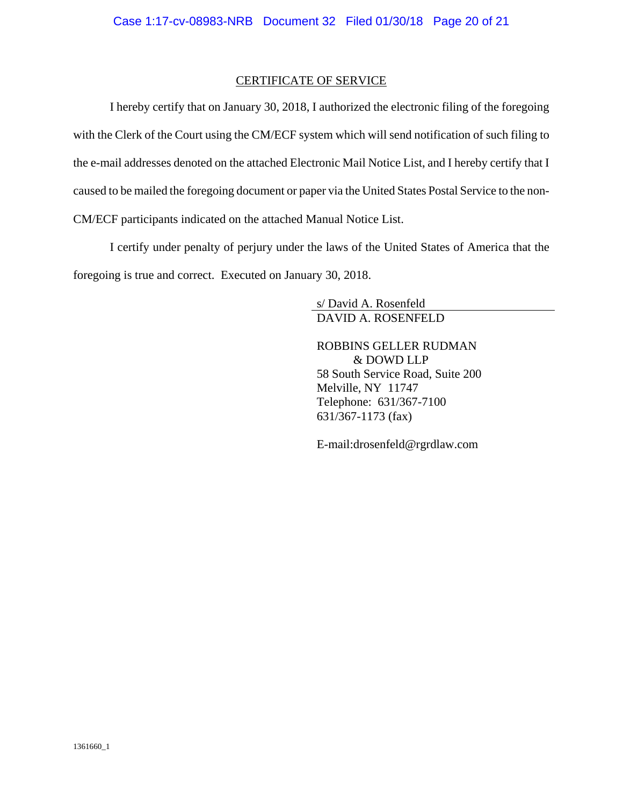#### CERTIFICATE OF SERVICE

I hereby certify that on January 30, 2018, I authorized the electronic filing of the foregoing with the Clerk of the Court using the CM/ECF system which will send notification of such filing to the e-mail addresses denoted on the attached Electronic Mail Notice List, and I hereby certify that I caused to be mailed the foregoing document or paper via the United States Postal Service to the non-CM/ECF participants indicated on the attached Manual Notice List.

I certify under penalty of perjury under the laws of the United States of America that the foregoing is true and correct. Executed on January 30, 2018.

> s/ David A. Rosenfeld DAVID A. ROSENFELD

ROBBINS GELLER RUDMAN & DOWD LLP 58 South Service Road, Suite 200 Melville, NY 11747 Telephone: 631/367-7100 631/367-1173 (fax)

E-mail:drosenfeld@rgrdlaw.com